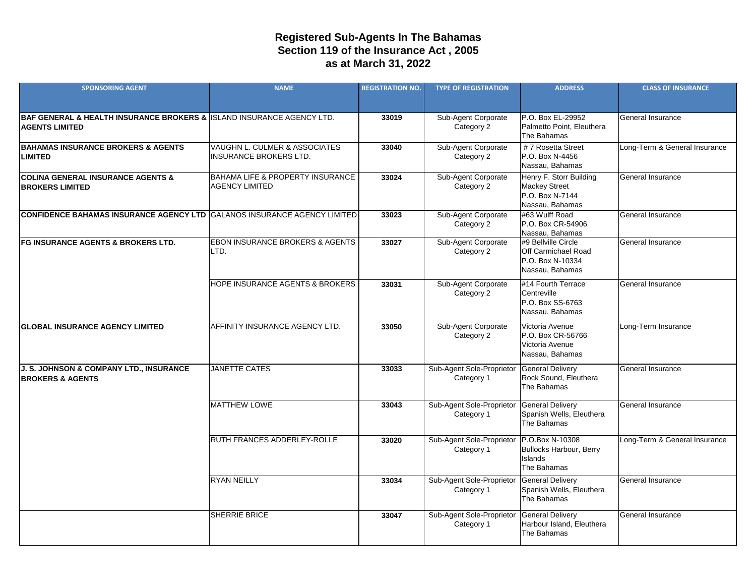## **Registered Sub-Agents In The Bahamas as at March 31, 2022 Section 119 of the Insurance Act , 2005**

| <b>SPONSORING AGENT</b>                                                                                         | <b>NAME</b>                                                          | <b>REGISTRATION NO.</b> | <b>TYPE OF REGISTRATION</b>             | <b>ADDRESS</b>                                                                           | <b>CLASS OF INSURANCE</b>     |
|-----------------------------------------------------------------------------------------------------------------|----------------------------------------------------------------------|-------------------------|-----------------------------------------|------------------------------------------------------------------------------------------|-------------------------------|
| <b>BAF GENERAL &amp; HEALTH INSURANCE BROKERS &amp; I</b> ISLAND INSURANCE AGENCY LTD.<br><b>AGENTS LIMITED</b> |                                                                      | 33019                   | Sub-Agent Corporate<br>Category 2       | P.O. Box EL-29952<br>Palmetto Point, Eleuthera<br>The Bahamas                            | <b>General Insurance</b>      |
| <b>BAHAMAS INSURANCE BROKERS &amp; AGENTS</b><br><b>LIMITED</b>                                                 | VAUGHN L. CULMER & ASSOCIATES<br><b>INSURANCE BROKERS LTD.</b>       | 33040                   | Sub-Agent Corporate<br>Category 2       | #7 Rosetta Street<br>P.O. Box N-4456<br>Nassau, Bahamas                                  | Long-Term & General Insurance |
| <b>COLINA GENERAL INSURANCE AGENTS &amp;</b><br><b>BROKERS LIMITED</b>                                          | <b>BAHAMA LIFE &amp; PROPERTY INSURANCE</b><br><b>AGENCY LIMITED</b> | 33024                   | Sub-Agent Corporate<br>Category 2       | Henry F. Storr Building<br><b>Mackey Street</b><br>P.O. Box N-7144<br>Nassau, Bahamas    | <b>General Insurance</b>      |
| CONFIDENCE BAHAMAS INSURANCE AGENCY LTD GALANOS INSURANCE AGENCY LIMITED                                        |                                                                      | 33023                   | Sub-Agent Corporate<br>Category 2       | #63 Wulff Road<br>P.O. Box CR-54906<br>Nassau, Bahamas                                   | <b>General Insurance</b>      |
| <b>FG INSURANCE AGENTS &amp; BROKERS LTD.</b>                                                                   | <b>EBON INSURANCE BROKERS &amp; AGENTS</b><br>LTD.                   | 33027                   | Sub-Agent Corporate<br>Category 2       | #9 Bellville Circle<br><b>Off Carmichael Road</b><br>P.O. Box N-10334<br>Nassau, Bahamas | <b>General Insurance</b>      |
|                                                                                                                 | HOPE INSURANCE AGENTS & BROKERS                                      | 33031                   | Sub-Agent Corporate<br>Category 2       | #14 Fourth Terrace<br>Centreville<br>P.O. Box SS-6763<br>Nassau, Bahamas                 | <b>General Insurance</b>      |
| <b>GLOBAL INSURANCE AGENCY LIMITED</b>                                                                          | <b>AFFINITY INSURANCE AGENCY LTD.</b>                                | 33050                   | Sub-Agent Corporate<br>Category 2       | Victoria Avenue<br>P.O. Box CR-56766<br>Victoria Avenue<br>Nassau, Bahamas               | Long-Term Insurance           |
| J. S. JOHNSON & COMPANY LTD., INSURANCE<br><b>BROKERS &amp; AGENTS</b>                                          | <b>JANETTE CATES</b>                                                 | 33033                   | Sub-Agent Sole-Proprietor<br>Category 1 | <b>General Delivery</b><br>Rock Sound, Eleuthera<br>The Bahamas                          | <b>General Insurance</b>      |
|                                                                                                                 | <b>MATTHEW LOWE</b>                                                  | 33043                   | Sub-Agent Sole-Proprietor<br>Category 1 | <b>General Delivery</b><br>Spanish Wells, Eleuthera<br>The Bahamas                       | <b>General Insurance</b>      |
|                                                                                                                 | <b>RUTH FRANCES ADDERLEY-ROLLE</b>                                   | 33020                   | Sub-Agent Sole-Proprietor<br>Category 1 | P.O.Box N-10308<br><b>Bullocks Harbour, Berry</b><br>Islands<br>The Bahamas              | Long-Term & General Insurance |
|                                                                                                                 | <b>RYAN NEILLY</b>                                                   | 33034                   | Sub-Agent Sole-Proprietor<br>Category 1 | <b>General Delivery</b><br>Spanish Wells, Eleuthera<br>The Bahamas                       | General Insurance             |
|                                                                                                                 | <b>SHERRIE BRICE</b>                                                 | 33047                   | Sub-Agent Sole-Proprietor<br>Category 1 | <b>General Delivery</b><br>Harbour Island, Eleuthera<br>The Bahamas                      | <b>General Insurance</b>      |